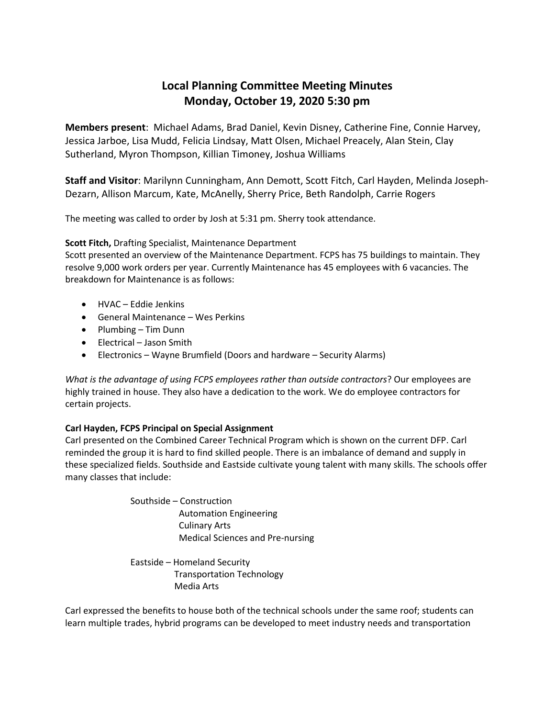# **Local Planning Committee Meeting Minutes Monday, October 19, 2020 5:30 pm**

**Members present**: Michael Adams, Brad Daniel, Kevin Disney, Catherine Fine, Connie Harvey, Jessica Jarboe, Lisa Mudd, Felicia Lindsay, Matt Olsen, Michael Preacely, Alan Stein, Clay Sutherland, Myron Thompson, Killian Timoney, Joshua Williams

**Staff and Visitor**: Marilynn Cunningham, Ann Demott, Scott Fitch, Carl Hayden, Melinda Joseph-Dezarn, Allison Marcum, Kate, McAnelly, Sherry Price, Beth Randolph, Carrie Rogers

The meeting was called to order by Josh at 5:31 pm. Sherry took attendance.

## **Scott Fitch,** Drafting Specialist, Maintenance Department

Scott presented an overview of the Maintenance Department. FCPS has 75 buildings to maintain. They resolve 9,000 work orders per year. Currently Maintenance has 45 employees with 6 vacancies. The breakdown for Maintenance is as follows:

- HVAC Eddie Jenkins
- General Maintenance Wes Perkins
- Plumbing Tim Dunn
- Electrical Jason Smith
- Electronics Wayne Brumfield (Doors and hardware Security Alarms)

*What is the advantage of using FCPS employees rather than outside contractors*? Our employees are highly trained in house. They also have a dedication to the work. We do employee contractors for certain projects.

### **Carl Hayden, FCPS Principal on Special Assignment**

Carl presented on the Combined Career Technical Program which is shown on the current DFP. Carl reminded the group it is hard to find skilled people. There is an imbalance of demand and supply in these specialized fields. Southside and Eastside cultivate young talent with many skills. The schools offer many classes that include:

> Southside – Construction Automation Engineering Culinary Arts Medical Sciences and Pre-nursing

Eastside – Homeland Security Transportation Technology Media Arts

Carl expressed the benefits to house both of the technical schools under the same roof; students can learn multiple trades, hybrid programs can be developed to meet industry needs and transportation